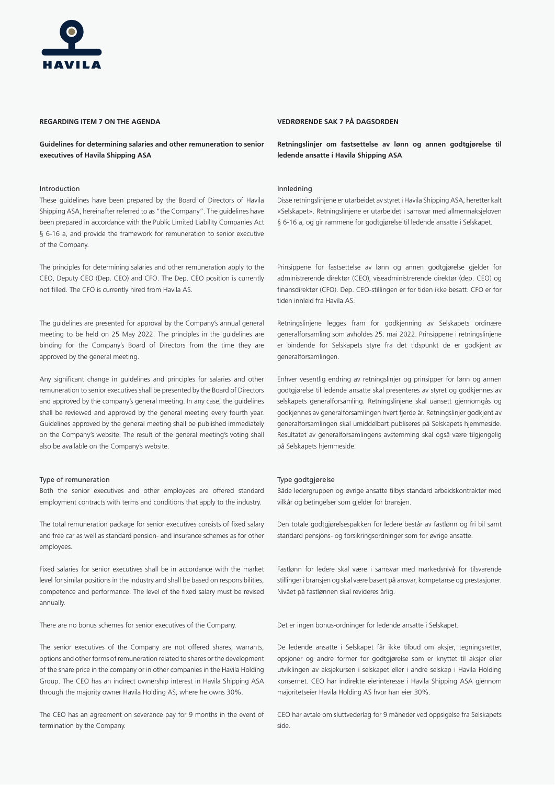# **REGARDING ITEM 7 ON THE AGENDA**

**Guidelines for determining salaries and other remuneration to senior executives of Havila Shipping ASA**

### Introduction

These guidelines have been prepared by the Board of Directors of Havila Shipping ASA, hereinafter referred to as "the Company". The guidelines have been prepared in accordance with the Public Limited Liability Companies Act § 6-16 a, and provide the framework for remuneration to senior executive of the Company.

The principles for determining salaries and other remuneration apply to the CEO, Deputy CEO (Dep. CEO) and CFO. The Dep. CEO position is currently not filled. The CFO is currently hired from Havila AS.

The guidelines are presented for approval by the Company's annual general meeting to be held on 25 May 2022. The principles in the guidelines are binding for the Company's Board of Directors from the time they are approved by the general meeting.

Any significant change in guidelines and principles for salaries and other remuneration to senior executives shall be presented by the Board of Directors and approved by the company's general meeting. In any case, the guidelines shall be reviewed and approved by the general meeting every fourth year. Guidelines approved by the general meeting shall be published immediately on the Company's website. The result of the general meeting's voting shall also be available on the Company's website.

# Type of remuneration

Both the senior executives and other employees are offered standard employment contracts with terms and conditions that apply to the industry.

The total remuneration package for senior executives consists of fixed salary and free car as well as standard pension- and insurance schemes as for other employees.

Fixed salaries for senior executives shall be in accordance with the market level for similar positions in the industry and shall be based on responsibilities, competence and performance. The level of the fixed salary must be revised annually.

There are no bonus schemes for senior executives of the Company.

The senior executives of the Company are not offered shares, warrants, options and other forms of remuneration related to shares or the development of the share price in the company or in other companies in the Havila Holding Group. The CEO has an indirect ownership interest in Havila Shipping ASA through the majority owner Havila Holding AS, where he owns 30%.

The CEO has an agreement on severance pay for 9 months in the event of termination by the Company.

# **VEDRØRENDE SAK 7 PÅ DAGSORDEN**

**Retningslinjer om fastsettelse av lønn og annen godtgjørelse til ledende ansatte i Havila Shipping ASA**

# Innledning

Disse retningslinjene er utarbeidet av styret i Havila Shipping ASA, heretter kalt «Selskapet». Retningslinjene er utarbeidet i samsvar med allmennaksjeloven § 6-16 a, og gir rammene for godtgjørelse til ledende ansatte i Selskapet.

Prinsippene for fastsettelse av lønn og annen godtgjørelse gjelder for administrerende direktør (CEO), viseadministrerende direktør (dep. CEO) og finansdirektør (CFO). Dep. CEO-stillingen er for tiden ikke besatt. CFO er for tiden innleid fra Havila AS.

Retningslinjene legges fram for godkjenning av Selskapets ordinære generalforsamling som avholdes 25. mai 2022. Prinsippene i retningslinjene er bindende for Selskapets styre fra det tidspunkt de er godkjent av generalforsamlingen.

Enhver vesentlig endring av retningslinjer og prinsipper for lønn og annen godtgjørelse til ledende ansatte skal presenteres av styret og godkjennes av selskapets generalforsamling. Retningslinjene skal uansett gjennomgås og godkjennes av generalforsamlingen hvert fjerde år. Retningslinjer godkjent av generalforsamlingen skal umiddelbart publiseres på Selskapets hjemmeside. Resultatet av generalforsamlingens avstemming skal også være tilgjengelig på Selskapets hjemmeside.

# Type godtgjørelse

Både ledergruppen og øvrige ansatte tilbys standard arbeidskontrakter med vilkår og betingelser som gjelder for bransjen.

Den totale godtgjørelsespakken for ledere består av fastlønn og fri bil samt standard pensjons- og forsikringsordninger som for øvrige ansatte.

Fastlønn for ledere skal være i samsvar med markedsnivå for tilsvarende stillinger i bransjen og skal være basert på ansvar, kompetanse og prestasjoner. Nivået på fastlønnen skal revideres årlig.

Det er ingen bonus-ordninger for ledende ansatte i Selskapet.

De ledende ansatte i Selskapet får ikke tilbud om aksjer, tegningsretter, opsjoner og andre former for godtgjørelse som er knyttet til aksjer eller utviklingen av aksjekursen i selskapet eller i andre selskap i Havila Holding konsernet. CEO har indirekte eierinteresse i Havila Shipping ASA gjennom majoritetseier Havila Holding AS hvor han eier 30%.

CEO har avtale om sluttvederlag for 9 måneder ved oppsigelse fra Selskapets side.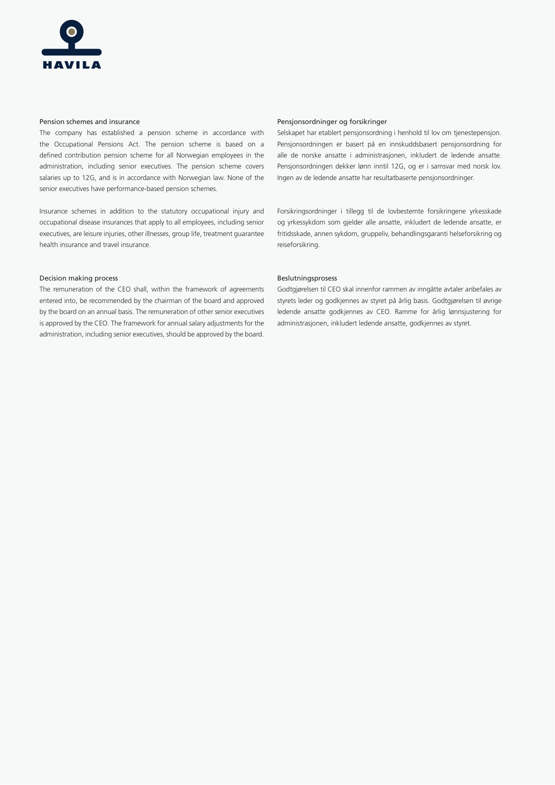

#### Pension schemes and insurance

The company has established a pension scheme in accordance with the Occupational Pensions Act. The pension scheme is based on a defined contribution pension scheme for all Norwegian employees in the administration, including senior executives. The pension scheme covers salaries up to 12G, and is in accordance with Norwegian law. None of the senior executives have performance-based pension schemes.

Insurance schemes in addition to the statutory occupational injury and occupational disease insurances that apply to all employees, including senior executives, are leisure injuries, other illnesses, group life, treatment guarantee health insurance and travel insurance.

#### Decision making process

The remuneration of the CEO shall, within the framework of agreements entered into, be recommended by the chairman of the board and approved by the board on an annual basis. The remuneration of other senior executives is approved by the CEO. The framework for annual salary adjustments for the administration, including senior executives, should be approved by the board.

# Pensjonsordninger og forsikringer

Selskapet har etablert pensjonsordning i henhold til lov om tjenestepensjon. Pensjonsordningen er basert på en innskuddsbasert pensjonsordning for alle de norske ansatte i administrasjonen, inkludert de ledende ansatte. Pensjonsordningen dekker lønn inntil 12G, og er i samsvar med norsk lov. Ingen av de ledende ansatte har resultatbaserte pensjonsordninger.

Forsikringsordninger i tillegg til de lovbestemte forsikringene yrkesskade og yrkessykdom som gjelder alle ansatte, inkludert de ledende ansatte, er fritidsskade, annen sykdom, gruppeliv, behandlingsgaranti helseforsikring og reiseforsikring.

#### Beslutningsprosess

Godtgjørelsen til CEO skal innenfor rammen av inngåtte avtaler anbefales av styrets leder og godkjennes av styret på årlig basis. Godtgjørelsen til øvrige ledende ansatte godkjennes av CEO. Ramme for årlig lønnsjustering for administrasjonen, inkludert ledende ansatte, godkjennes av styret.